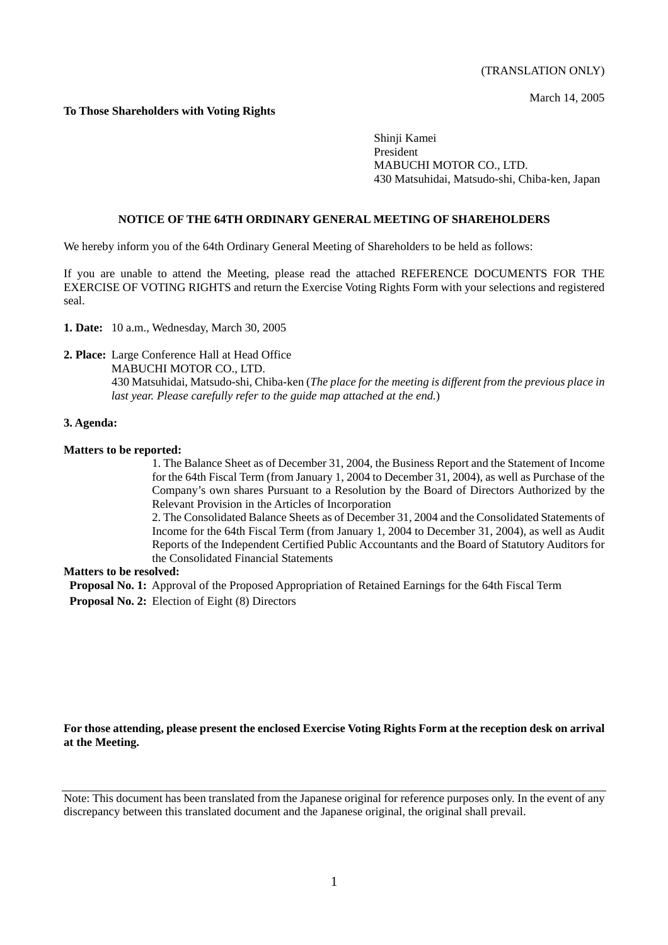March 14, 2005

### **To Those Shareholders with Voting Rights**

Shinji Kamei President MABUCHI MOTOR CO., LTD. 430 Matsuhidai, Matsudo-shi, Chiba-ken, Japan

#### **NOTICE OF THE 64TH ORDINARY GENERAL MEETING OF SHAREHOLDERS**

We hereby inform you of the 64th Ordinary General Meeting of Shareholders to be held as follows:

If you are unable to attend the Meeting, please read the attached REFERENCE DOCUMENTS FOR THE EXERCISE OF VOTING RIGHTS and return the Exercise Voting Rights Form with your selections and registered seal.

**1. Date:** 10 a.m., Wednesday, March 30, 2005

#### **2. Place:** Large Conference Hall at Head Office

 MABUCHI MOTOR CO., LTD. 430 Matsuhidai, Matsudo-shi, Chiba-ken (*The place for the meeting is different from the previous place in last year. Please carefully refer to the guide map attached at the end.*)

#### **3. Agenda:**

#### **Matters to be reported:**

1. The Balance Sheet as of December 31, 2004, the Business Report and the Statement of Income for the 64th Fiscal Term (from January 1, 2004 to December 31, 2004), as well as Purchase of the Company's own shares Pursuant to a Resolution by the Board of Directors Authorized by the Relevant Provision in the Articles of Incorporation

2. The Consolidated Balance Sheets as of December 31, 2004 and the Consolidated Statements of Income for the 64th Fiscal Term (from January 1, 2004 to December 31, 2004), as well as Audit Reports of the Independent Certified Public Accountants and the Board of Statutory Auditors for the Consolidated Financial Statements

#### **Matters to be resolved:**

 **Proposal No. 1:** Approval of the Proposed Appropriation of Retained Earnings for the 64th Fiscal Term **Proposal No. 2:** Election of Eight (8) Directors

#### **For those attending, please present the enclosed Exercise Voting Rights Form at the reception desk on arrival at the Meeting.**

Note: This document has been translated from the Japanese original for reference purposes only. In the event of any discrepancy between this translated document and the Japanese original, the original shall prevail.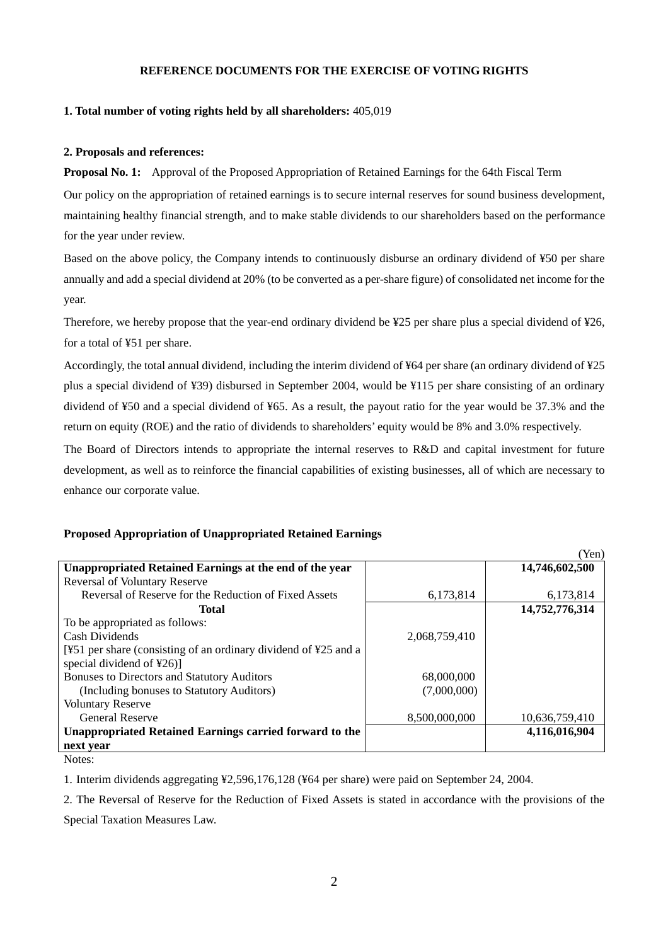### **REFERENCE DOCUMENTS FOR THE EXERCISE OF VOTING RIGHTS**

### **1. Total number of voting rights held by all shareholders:** 405,019

#### **2. Proposals and references:**

**Proposal No. 1:** Approval of the Proposed Appropriation of Retained Earnings for the 64th Fiscal Term

Our policy on the appropriation of retained earnings is to secure internal reserves for sound business development, maintaining healthy financial strength, and to make stable dividends to our shareholders based on the performance for the year under review.

Based on the above policy, the Company intends to continuously disburse an ordinary dividend of ¥50 per share annually and add a special dividend at 20% (to be converted as a per-share figure) of consolidated net income for the year.

Therefore, we hereby propose that the year-end ordinary dividend be ¥25 per share plus a special dividend of ¥26, for a total of ¥51 per share.

Accordingly, the total annual dividend, including the interim dividend of ¥64 per share (an ordinary dividend of ¥25 plus a special dividend of ¥39) disbursed in September 2004, would be ¥115 per share consisting of an ordinary dividend of ¥50 and a special dividend of ¥65. As a result, the payout ratio for the year would be 37.3% and the return on equity (ROE) and the ratio of dividends to shareholders' equity would be 8% and 3.0% respectively.

The Board of Directors intends to appropriate the internal reserves to R&D and capital investment for future development, as well as to reinforce the financial capabilities of existing businesses, all of which are necessary to enhance our corporate value.

 $(Y_{\alpha n})$ 

### **Proposed Appropriation of Unappropriated Retained Earnings**

|                                                                                             |               | 1 CII)         |
|---------------------------------------------------------------------------------------------|---------------|----------------|
| Unappropriated Retained Earnings at the end of the year                                     |               | 14,746,602,500 |
| <b>Reversal of Voluntary Reserve</b>                                                        |               |                |
| Reversal of Reserve for the Reduction of Fixed Assets                                       | 6,173,814     | 6,173,814      |
| Total                                                                                       |               | 14,752,776,314 |
| To be appropriated as follows:                                                              |               |                |
| Cash Dividends                                                                              | 2,068,759,410 |                |
| [ $\frac{1251}{25}$ per share (consisting of an ordinary dividend of $\frac{125}{25}$ and a |               |                |
| special dividend of ¥26)]                                                                   |               |                |
| <b>Bonuses to Directors and Statutory Auditors</b>                                          | 68,000,000    |                |
| (Including bonuses to Statutory Auditors)                                                   | (7.000.000)   |                |
| <b>Voluntary Reserve</b>                                                                    |               |                |
| <b>General Reserve</b>                                                                      | 8,500,000,000 | 10,636,759,410 |
| Unappropriated Retained Earnings carried forward to the                                     |               | 4,116,016,904  |
| next year                                                                                   |               |                |
|                                                                                             |               |                |

Notes:

1. Interim dividends aggregating ¥2,596,176,128 (¥64 per share) were paid on September 24, 2004.

2. The Reversal of Reserve for the Reduction of Fixed Assets is stated in accordance with the provisions of the Special Taxation Measures Law.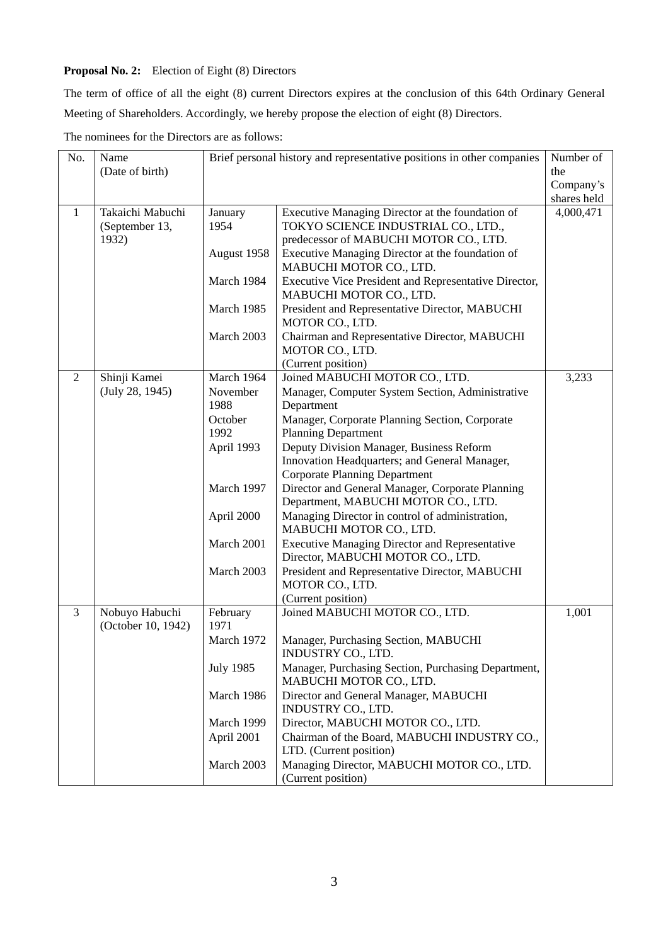# **Proposal No. 2:** Election of Eight (8) Directors

The term of office of all the eight (8) current Directors expires at the conclusion of this 64th Ordinary General Meeting of Shareholders. Accordingly, we hereby propose the election of eight (8) Directors.

| No.            | Name                                 | Brief personal history and representative positions in other companies |                                                                                | Number of   |
|----------------|--------------------------------------|------------------------------------------------------------------------|--------------------------------------------------------------------------------|-------------|
|                | (Date of birth)                      |                                                                        |                                                                                | the         |
|                |                                      |                                                                        |                                                                                | Company's   |
|                |                                      |                                                                        |                                                                                | shares held |
| 1              | Takaichi Mabuchi                     | January                                                                | Executive Managing Director at the foundation of                               | 4,000,471   |
|                | (September 13,                       | 1954                                                                   | TOKYO SCIENCE INDUSTRIAL CO., LTD.,                                            |             |
|                | 1932)                                |                                                                        | predecessor of MABUCHI MOTOR CO., LTD.                                         |             |
|                |                                      | August 1958                                                            | Executive Managing Director at the foundation of                               |             |
|                |                                      |                                                                        | MABUCHI MOTOR CO., LTD.                                                        |             |
|                |                                      | March 1984                                                             | Executive Vice President and Representative Director,                          |             |
|                |                                      |                                                                        | MABUCHI MOTOR CO., LTD.                                                        |             |
|                |                                      | March 1985                                                             | President and Representative Director, MABUCHI                                 |             |
|                |                                      |                                                                        | MOTOR CO., LTD.                                                                |             |
|                |                                      | March 2003                                                             | Chairman and Representative Director, MABUCHI                                  |             |
|                |                                      |                                                                        | MOTOR CO., LTD.                                                                |             |
|                |                                      |                                                                        | (Current position)                                                             |             |
| $\overline{2}$ | Shinji Kamei                         | March 1964                                                             | Joined MABUCHI MOTOR CO., LTD.                                                 | 3,233       |
|                | (July 28, 1945)                      | November                                                               | Manager, Computer System Section, Administrative                               |             |
|                |                                      | 1988                                                                   | Department                                                                     |             |
|                |                                      | October                                                                | Manager, Corporate Planning Section, Corporate                                 |             |
|                |                                      | 1992                                                                   | <b>Planning Department</b>                                                     |             |
|                |                                      | April 1993                                                             | Deputy Division Manager, Business Reform                                       |             |
|                |                                      |                                                                        | Innovation Headquarters; and General Manager,                                  |             |
|                |                                      |                                                                        | <b>Corporate Planning Department</b>                                           |             |
|                |                                      | March 1997                                                             | Director and General Manager, Corporate Planning                               |             |
|                |                                      |                                                                        | Department, MABUCHI MOTOR CO., LTD.                                            |             |
|                |                                      | April 2000                                                             | Managing Director in control of administration,<br>MABUCHI MOTOR CO., LTD.     |             |
|                |                                      | March 2001                                                             | <b>Executive Managing Director and Representative</b>                          |             |
|                |                                      |                                                                        | Director, MABUCHI MOTOR CO., LTD.                                              |             |
|                |                                      | March 2003                                                             | President and Representative Director, MABUCHI                                 |             |
|                |                                      |                                                                        | MOTOR CO., LTD.                                                                |             |
|                |                                      |                                                                        | (Current position)                                                             |             |
| 3              | Nobuyo Habuchi<br>(October 10, 1942) | February<br>1971                                                       | Joined MABUCHI MOTOR CO., LTD.                                                 | 1,001       |
|                |                                      | March 1972                                                             | Manager, Purchasing Section, MABUCHI<br>INDUSTRY CO., LTD.                     |             |
|                |                                      | <b>July 1985</b>                                                       | Manager, Purchasing Section, Purchasing Department,<br>MABUCHI MOTOR CO., LTD. |             |
|                |                                      | March 1986                                                             | Director and General Manager, MABUCHI<br>INDUSTRY CO., LTD.                    |             |
|                |                                      | March 1999                                                             | Director, MABUCHI MOTOR CO., LTD.                                              |             |
|                |                                      | April 2001                                                             | Chairman of the Board, MABUCHI INDUSTRY CO.,                                   |             |
|                |                                      |                                                                        | LTD. (Current position)                                                        |             |
|                |                                      | March 2003                                                             | Managing Director, MABUCHI MOTOR CO., LTD.                                     |             |
|                |                                      |                                                                        | (Current position)                                                             |             |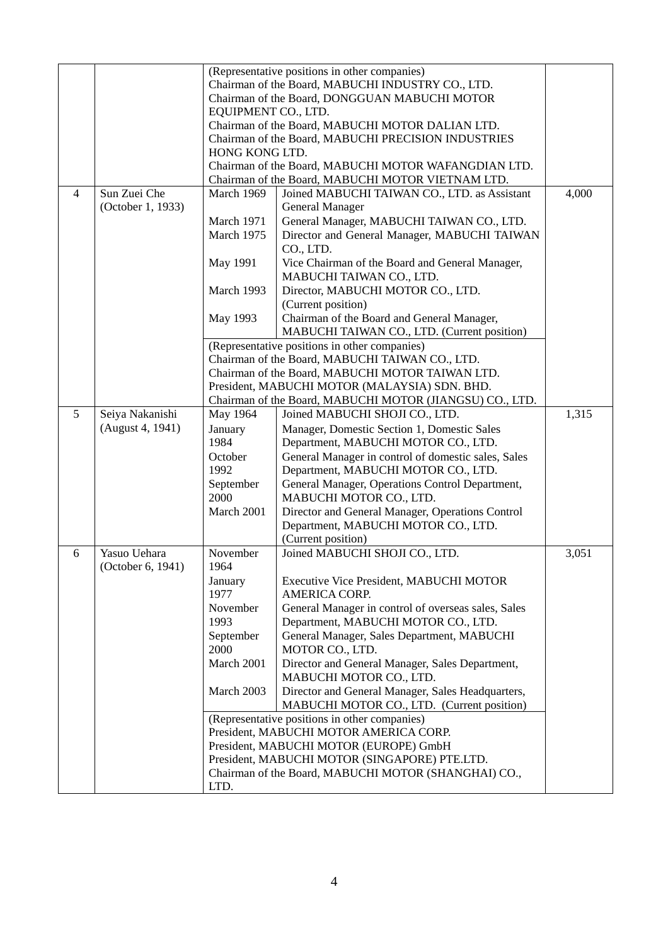|                |                   |                                                   | (Representative positions in other companies)                                                     |       |
|----------------|-------------------|---------------------------------------------------|---------------------------------------------------------------------------------------------------|-------|
|                |                   | Chairman of the Board, MABUCHI INDUSTRY CO., LTD. |                                                                                                   |       |
|                |                   | Chairman of the Board, DONGGUAN MABUCHI MOTOR     |                                                                                                   |       |
|                |                   | EQUIPMENT CO., LTD.                               |                                                                                                   |       |
|                |                   | Chairman of the Board, MABUCHI MOTOR DALIAN LTD.  |                                                                                                   |       |
|                |                   |                                                   | Chairman of the Board, MABUCHI PRECISION INDUSTRIES                                               |       |
|                |                   | HONG KONG LTD.                                    |                                                                                                   |       |
|                |                   |                                                   | Chairman of the Board, MABUCHI MOTOR WAFANGDIAN LTD.                                              |       |
| $\overline{4}$ | Sun Zuei Che      | March 1969                                        | Chairman of the Board, MABUCHI MOTOR VIETNAM LTD.<br>Joined MABUCHI TAIWAN CO., LTD. as Assistant | 4,000 |
|                | (October 1, 1933) |                                                   | <b>General Manager</b>                                                                            |       |
|                |                   | March 1971                                        | General Manager, MABUCHI TAIWAN CO., LTD.                                                         |       |
|                |                   | March 1975                                        | Director and General Manager, MABUCHI TAIWAN                                                      |       |
|                |                   |                                                   | CO., LTD.                                                                                         |       |
|                |                   | May 1991                                          | Vice Chairman of the Board and General Manager,                                                   |       |
|                |                   |                                                   | MABUCHI TAIWAN CO., LTD.                                                                          |       |
|                |                   | March 1993                                        | Director, MABUCHI MOTOR CO., LTD.                                                                 |       |
|                |                   |                                                   | (Current position)                                                                                |       |
|                |                   | May 1993                                          | Chairman of the Board and General Manager,                                                        |       |
|                |                   |                                                   | MABUCHI TAIWAN CO., LTD. (Current position)                                                       |       |
|                |                   |                                                   | (Representative positions in other companies)                                                     |       |
|                |                   |                                                   | Chairman of the Board, MABUCHI TAIWAN CO., LTD.                                                   |       |
|                |                   |                                                   | Chairman of the Board, MABUCHI MOTOR TAIWAN LTD.                                                  |       |
|                |                   |                                                   | President, MABUCHI MOTOR (MALAYSIA) SDN. BHD.                                                     |       |
|                |                   |                                                   | Chairman of the Board, MABUCHI MOTOR (JIANGSU) CO., LTD.                                          |       |
| 5              | Seiya Nakanishi   | May 1964                                          | Joined MABUCHI SHOJI CO., LTD.                                                                    | 1,315 |
|                | (August 4, 1941)  | January                                           | Manager, Domestic Section 1, Domestic Sales                                                       |       |
|                |                   | 1984                                              | Department, MABUCHI MOTOR CO., LTD.                                                               |       |
|                |                   | October                                           | General Manager in control of domestic sales, Sales                                               |       |
|                |                   | 1992                                              | Department, MABUCHI MOTOR CO., LTD.                                                               |       |
|                |                   | September<br>2000                                 | General Manager, Operations Control Department,<br>MABUCHI MOTOR CO., LTD.                        |       |
|                |                   | March 2001                                        | Director and General Manager, Operations Control                                                  |       |
|                |                   |                                                   | Department, MABUCHI MOTOR CO., LTD.                                                               |       |
|                |                   |                                                   | (Current position)                                                                                |       |
| 6              | Yasuo Uehara      | November                                          | Joined MABUCHI SHOJI CO., LTD.                                                                    | 3,051 |
|                | (October 6, 1941) | 1964                                              |                                                                                                   |       |
|                |                   | January                                           | Executive Vice President, MABUCHI MOTOR                                                           |       |
|                |                   | 1977                                              | <b>AMERICA CORP.</b>                                                                              |       |
|                |                   | November                                          | General Manager in control of overseas sales, Sales                                               |       |
|                |                   | 1993                                              | Department, MABUCHI MOTOR CO., LTD.                                                               |       |
|                |                   | September                                         | General Manager, Sales Department, MABUCHI                                                        |       |
|                |                   | 2000                                              | MOTOR CO., LTD.                                                                                   |       |
|                |                   | March 2001                                        | Director and General Manager, Sales Department,                                                   |       |
|                |                   |                                                   | MABUCHI MOTOR CO., LTD.                                                                           |       |
|                |                   | March 2003                                        | Director and General Manager, Sales Headquarters,                                                 |       |
|                |                   |                                                   | MABUCHI MOTOR CO., LTD. (Current position)                                                        |       |
|                |                   |                                                   | (Representative positions in other companies)                                                     |       |
|                |                   |                                                   | President, MABUCHI MOTOR AMERICA CORP.<br>President, MABUCHI MOTOR (EUROPE) GmbH                  |       |
|                |                   |                                                   | President, MABUCHI MOTOR (SINGAPORE) PTE.LTD.                                                     |       |
|                |                   |                                                   | Chairman of the Board, MABUCHI MOTOR (SHANGHAI) CO.,                                              |       |
|                |                   | LTD.                                              |                                                                                                   |       |
|                |                   |                                                   |                                                                                                   |       |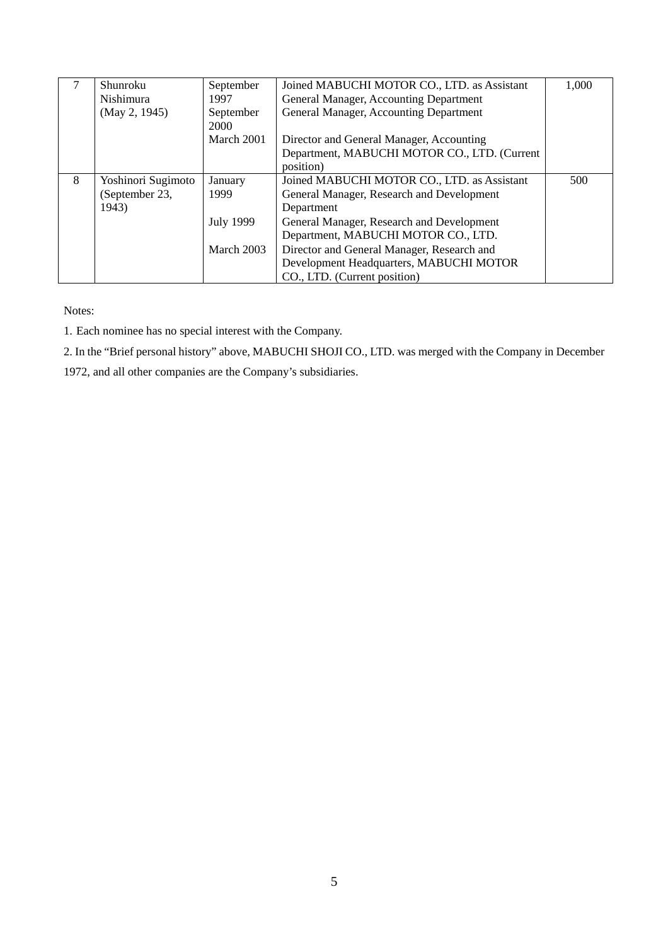|   | Shunroku<br>Nishimura | September<br>1997 | Joined MABUCHI MOTOR CO., LTD. as Assistant<br>General Manager, Accounting Department | 1,000 |
|---|-----------------------|-------------------|---------------------------------------------------------------------------------------|-------|
|   | (May 2, 1945)         | September<br>2000 | General Manager, Accounting Department                                                |       |
|   |                       | March 2001        | Director and General Manager, Accounting                                              |       |
|   |                       |                   | Department, MABUCHI MOTOR CO., LTD. (Current                                          |       |
|   |                       |                   | position)                                                                             |       |
| 8 | Yoshinori Sugimoto    | January           | Joined MABUCHI MOTOR CO., LTD. as Assistant                                           | 500   |
|   | (September 23,        | 1999              | General Manager, Research and Development                                             |       |
|   | 1943)                 |                   | Department                                                                            |       |
|   |                       | <b>July 1999</b>  | General Manager, Research and Development                                             |       |
|   |                       |                   | Department, MABUCHI MOTOR CO., LTD.                                                   |       |
|   |                       | March 2003        | Director and General Manager, Research and                                            |       |
|   |                       |                   | Development Headquarters, MABUCHI MOTOR                                               |       |
|   |                       |                   | CO., LTD. (Current position)                                                          |       |

Notes:

1. Each nominee has no special interest with the Company.

2. In the "Brief personal history" above, MABUCHI SHOJI CO., LTD. was merged with the Company in December

1972, and all other companies are the Company's subsidiaries.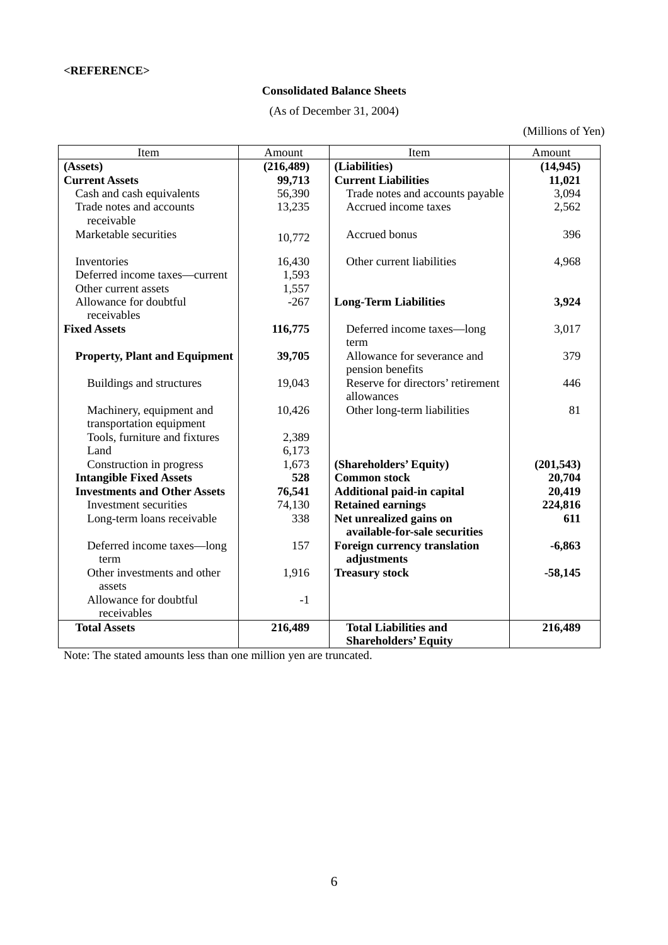### **Consolidated Balance Sheets**

(As of December 31, 2004)

(Millions of Yen)

| Item                                 | Amount     | Item                                                     | Amount         |
|--------------------------------------|------------|----------------------------------------------------------|----------------|
| (Assets)                             | (216, 489) | (Liabilities)                                            | (14, 945)      |
| <b>Current Assets</b>                | 99,713     | <b>Current Liabilities</b>                               | 11,021         |
| Cash and cash equivalents            | 56,390     | Trade notes and accounts payable                         | 3,094          |
| Trade notes and accounts             | 13,235     | Accrued income taxes                                     | 2,562          |
| receivable                           |            |                                                          |                |
| Marketable securities                | 10,772     | Accrued bonus                                            | 396            |
| Inventories                          | 16,430     | Other current liabilities                                | 4,968          |
| Deferred income taxes-current        | 1,593      |                                                          |                |
| Other current assets                 | 1,557      |                                                          |                |
| Allowance for doubtful               | $-267$     | <b>Long-Term Liabilities</b>                             | 3,924          |
| receivables                          |            |                                                          |                |
| <b>Fixed Assets</b>                  | 116,775    | Deferred income taxes-long                               | 3,017          |
|                                      |            | term                                                     |                |
| <b>Property, Plant and Equipment</b> | 39,705     | Allowance for severance and                              | 379            |
|                                      |            | pension benefits                                         |                |
| Buildings and structures             | 19,043     | Reserve for directors' retirement                        | 446            |
|                                      |            | allowances                                               |                |
| Machinery, equipment and             | 10,426     | Other long-term liabilities                              | 81             |
| transportation equipment             |            |                                                          |                |
| Tools, furniture and fixtures        | 2,389      |                                                          |                |
| Land                                 | 6,173      |                                                          |                |
| Construction in progress             | 1,673      | (Shareholders' Equity)                                   | (201, 543)     |
| <b>Intangible Fixed Assets</b>       | 528        | <b>Common stock</b>                                      | 20,704         |
| <b>Investments and Other Assets</b>  | 76,541     | <b>Additional paid-in capital</b>                        | 20,419         |
| Investment securities                | 74,130     | <b>Retained earnings</b>                                 | 224,816<br>611 |
| Long-term loans receivable           | 338        | Net unrealized gains on<br>available-for-sale securities |                |
| Deferred income taxes-long           | 157        | <b>Foreign currency translation</b>                      | $-6,863$       |
| term                                 |            | adjustments                                              |                |
| Other investments and other          | 1,916      | <b>Treasury stock</b>                                    | $-58,145$      |
| assets                               |            |                                                          |                |
| Allowance for doubtful               | $-1$       |                                                          |                |
| receivables                          |            |                                                          |                |
| <b>Total Assets</b>                  | 216,489    | <b>Total Liabilities and</b>                             | 216,489        |
|                                      |            | <b>Shareholders' Equity</b>                              |                |

Note: The stated amounts less than one million yen are truncated.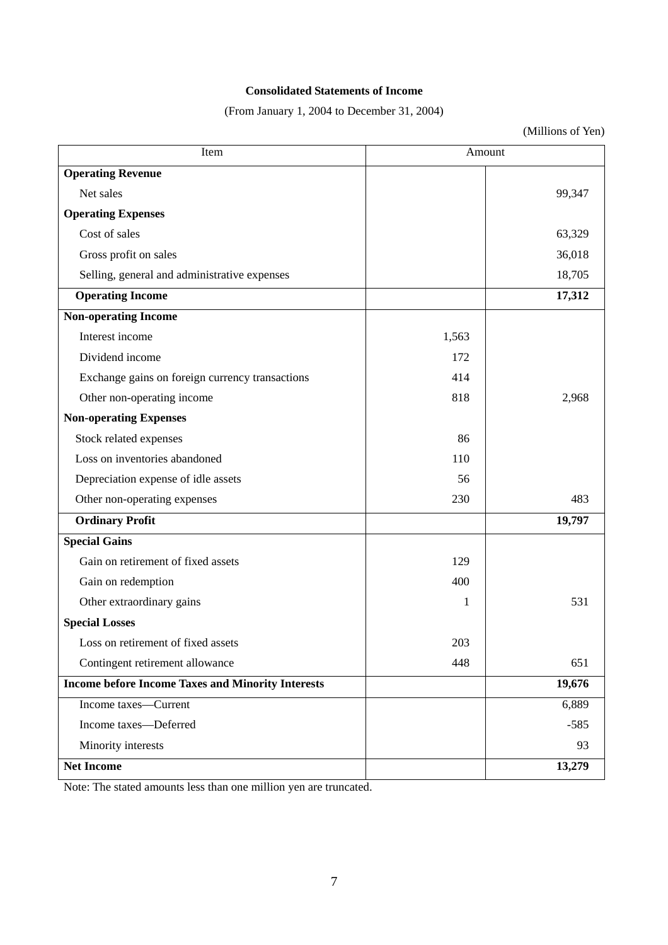### **Consolidated Statements of Income**

(From January 1, 2004 to December 31, 2004)

(Millions of Yen)

| Item                                                     | Amount |        |
|----------------------------------------------------------|--------|--------|
| <b>Operating Revenue</b>                                 |        |        |
| Net sales                                                |        | 99,347 |
| <b>Operating Expenses</b>                                |        |        |
| Cost of sales                                            |        | 63,329 |
| Gross profit on sales                                    |        | 36,018 |
| Selling, general and administrative expenses             |        | 18,705 |
| <b>Operating Income</b>                                  |        | 17,312 |
| <b>Non-operating Income</b>                              |        |        |
| Interest income                                          | 1,563  |        |
| Dividend income                                          | 172    |        |
| Exchange gains on foreign currency transactions          | 414    |        |
| Other non-operating income                               | 818    | 2,968  |
| <b>Non-operating Expenses</b>                            |        |        |
| Stock related expenses                                   | 86     |        |
| Loss on inventories abandoned                            | 110    |        |
| Depreciation expense of idle assets                      | 56     |        |
| Other non-operating expenses                             | 230    | 483    |
| <b>Ordinary Profit</b>                                   |        | 19,797 |
| <b>Special Gains</b>                                     |        |        |
| Gain on retirement of fixed assets                       | 129    |        |
| Gain on redemption                                       | 400    |        |
| Other extraordinary gains                                | 1      | 531    |
| <b>Special Losses</b>                                    |        |        |
| Loss on retirement of fixed assets                       | 203    |        |
| Contingent retirement allowance                          | 448    | 651    |
| <b>Income before Income Taxes and Minority Interests</b> |        | 19,676 |
| Income taxes-Current                                     |        | 6,889  |
| Income taxes-Deferred                                    |        | $-585$ |
| Minority interests                                       |        | 93     |
| <b>Net Income</b>                                        |        | 13,279 |

Note: The stated amounts less than one million yen are truncated.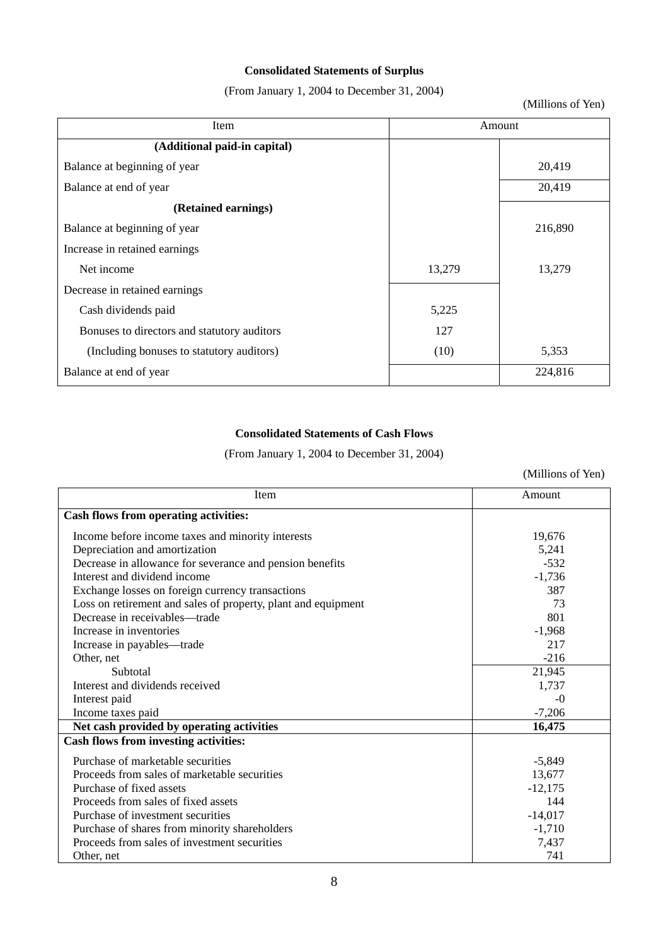## **Consolidated Statements of Surplus**

(From January 1, 2004 to December 31, 2004)

(Millions of Yen)

| Item                                        |        | Amount  |
|---------------------------------------------|--------|---------|
| (Additional paid-in capital)                |        |         |
| Balance at beginning of year                |        | 20,419  |
| Balance at end of year                      |        | 20,419  |
| (Retained earnings)                         |        |         |
| Balance at beginning of year                |        | 216,890 |
| Increase in retained earnings               |        |         |
| Net income                                  | 13,279 | 13,279  |
| Decrease in retained earnings               |        |         |
| Cash dividends paid                         | 5,225  |         |
| Bonuses to directors and statutory auditors | 127    |         |
| (Including bonuses to statutory auditors)   | (10)   | 5,353   |
| Balance at end of year                      |        | 224,816 |

## **Consolidated Statements of Cash Flows**

(From January 1, 2004 to December 31, 2004)

(Millions of Yen)

| Item                                                          | Amount    |
|---------------------------------------------------------------|-----------|
| Cash flows from operating activities:                         |           |
| Income before income taxes and minority interests             | 19,676    |
| Depreciation and amortization                                 | 5,241     |
| Decrease in allowance for severance and pension benefits      | $-532$    |
| Interest and dividend income                                  | $-1,736$  |
| Exchange losses on foreign currency transactions              | 387       |
| Loss on retirement and sales of property, plant and equipment | 73        |
| Decrease in receivables—trade                                 | 801       |
| Increase in inventories                                       | $-1,968$  |
| Increase in payables—trade                                    | 217       |
| Other, net                                                    | $-216$    |
| Subtotal                                                      | 21,945    |
| Interest and dividends received                               | 1,737     |
| Interest paid                                                 | $-()$     |
| Income taxes paid                                             | $-7,206$  |
| Net cash provided by operating activities                     | 16,475    |
| <b>Cash flows from investing activities:</b>                  |           |
| Purchase of marketable securities                             | $-5,849$  |
| Proceeds from sales of marketable securities                  | 13,677    |
| Purchase of fixed assets                                      | $-12,175$ |
| Proceeds from sales of fixed assets                           | 144       |
| Purchase of investment securities                             | $-14,017$ |
| Purchase of shares from minority shareholders                 | $-1,710$  |
| Proceeds from sales of investment securities                  | 7,437     |
| Other, net                                                    | 741       |